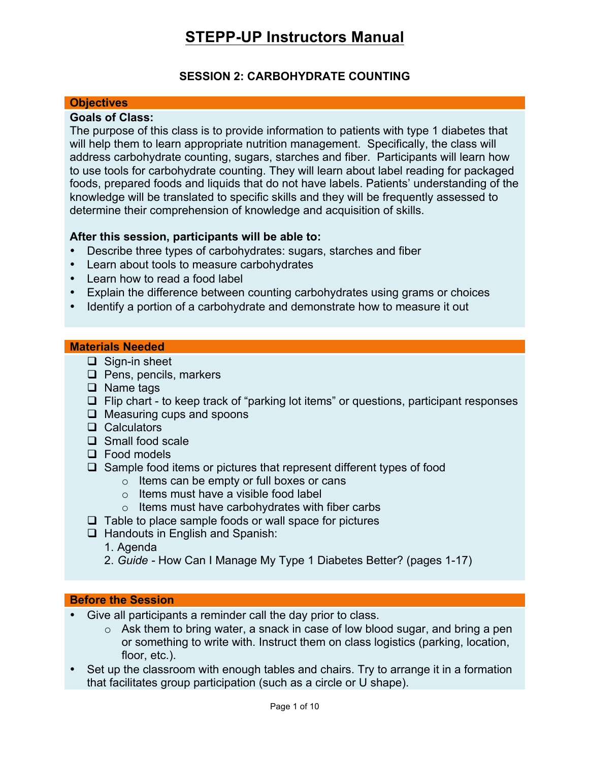### **SESSION 2: CARBOHYDRATE COUNTING**

#### **Objectives**

### **Goals of Class:**

The purpose of this class is to provide information to patients with type 1 diabetes that will help them to learn appropriate nutrition management. Specifically, the class will address carbohydrate counting, sugars, starches and fiber. Participants will learn how to use tools for carbohydrate counting. They will learn about label reading for packaged foods, prepared foods and liquids that do not have labels. Patients' understanding of the knowledge will be translated to specific skills and they will be frequently assessed to determine their comprehension of knowledge and acquisition of skills.

#### **After this session, participants will be able to:**

- Describe three types of carbohydrates: sugars, starches and fiber
- Learn about tools to measure carbohydrates
- Learn how to read a food label
- Explain the difference between counting carbohydrates using grams or choices
- Identify a portion of a carbohydrate and demonstrate how to measure it out

#### **Materials Needed**

- $\Box$  Sign-in sheet
- $\Box$  Pens, pencils, markers
- $\Box$  Name tags
- $\Box$  Flip chart to keep track of "parking lot items" or questions, participant responses
- $\Box$  Measuring cups and spoons
- $\Box$  Calculators
- $\Box$  Small food scale
- $\Box$  Food models
- $\Box$  Sample food items or pictures that represent different types of food
	- o Items can be empty or full boxes or cans
	- o Items must have a visible food label
	- $\circ$  Items must have carbohydrates with fiber carbs
- $\Box$  Table to place sample foods or wall space for pictures
- $\Box$  Handouts in English and Spanish:
	- 1. Agenda
	- 2. *Guide -* How Can I Manage My Type 1 Diabetes Better? (pages 1-17)

#### **Before the Session**

- Give all participants a reminder call the day prior to class.
	- o Ask them to bring water, a snack in case of low blood sugar, and bring a pen or something to write with. Instruct them on class logistics (parking, location, floor, etc.).
- Set up the classroom with enough tables and chairs. Try to arrange it in a formation that facilitates group participation (such as a circle or U shape).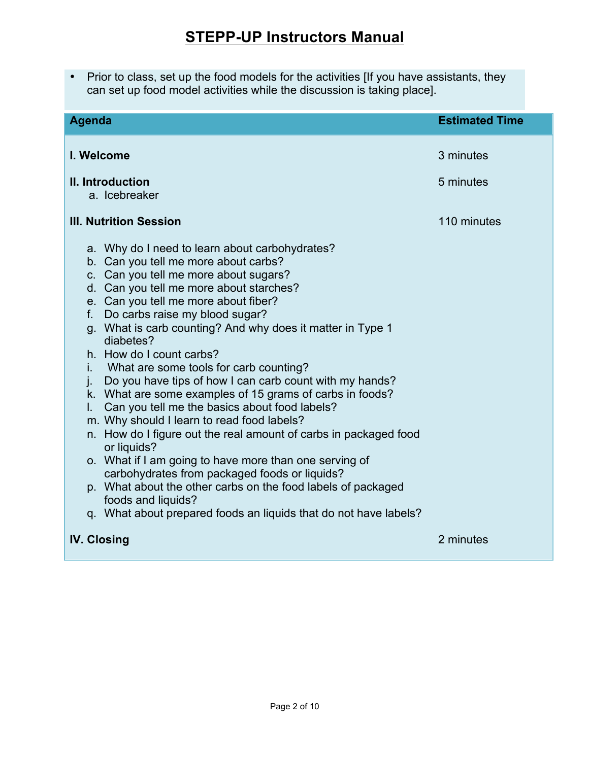• Prior to class, set up the food models for the activities [If you have assistants, they can set up food model activities while the discussion is taking place].

| <b>Agenda</b>                                                                                                                                                                                                                                                                                                                                                                                                                                                                                                                                                                                                                                                                                                                                                                                                                                                                                                                                                                                               | <b>Estimated Time</b> |
|-------------------------------------------------------------------------------------------------------------------------------------------------------------------------------------------------------------------------------------------------------------------------------------------------------------------------------------------------------------------------------------------------------------------------------------------------------------------------------------------------------------------------------------------------------------------------------------------------------------------------------------------------------------------------------------------------------------------------------------------------------------------------------------------------------------------------------------------------------------------------------------------------------------------------------------------------------------------------------------------------------------|-----------------------|
| I. Welcome                                                                                                                                                                                                                                                                                                                                                                                                                                                                                                                                                                                                                                                                                                                                                                                                                                                                                                                                                                                                  | 3 minutes             |
| II. Introduction<br>a. Icebreaker                                                                                                                                                                                                                                                                                                                                                                                                                                                                                                                                                                                                                                                                                                                                                                                                                                                                                                                                                                           | 5 minutes             |
| <b>III. Nutrition Session</b>                                                                                                                                                                                                                                                                                                                                                                                                                                                                                                                                                                                                                                                                                                                                                                                                                                                                                                                                                                               | 110 minutes           |
| a. Why do I need to learn about carbohydrates?<br>b. Can you tell me more about carbs?<br>c. Can you tell me more about sugars?<br>d. Can you tell me more about starches?<br>e. Can you tell me more about fiber?<br>Do carbs raise my blood sugar?<br>f.<br>g. What is carb counting? And why does it matter in Type 1<br>diabetes?<br>h. How do I count carbs?<br>What are some tools for carb counting?<br>İ.<br>Do you have tips of how I can carb count with my hands?<br>j.<br>k. What are some examples of 15 grams of carbs in foods?<br>Can you tell me the basics about food labels?<br>L.<br>m. Why should I learn to read food labels?<br>n. How do I figure out the real amount of carbs in packaged food<br>or liquids?<br>o. What if I am going to have more than one serving of<br>carbohydrates from packaged foods or liquids?<br>p. What about the other carbs on the food labels of packaged<br>foods and liquids?<br>q. What about prepared foods an liquids that do not have labels? |                       |
| <b>IV. Closing</b>                                                                                                                                                                                                                                                                                                                                                                                                                                                                                                                                                                                                                                                                                                                                                                                                                                                                                                                                                                                          | 2 minutes             |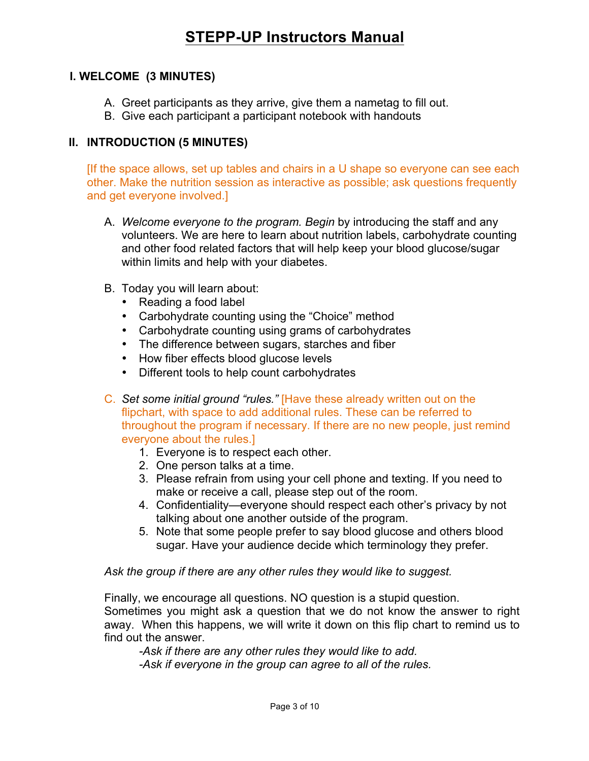### **I. WELCOME (3 MINUTES)**

- A. Greet participants as they arrive, give them a nametag to fill out.
- B. Give each participant a participant notebook with handouts

### **II. INTRODUCTION (5 MINUTES)**

[If the space allows, set up tables and chairs in a U shape so everyone can see each other. Make the nutrition session as interactive as possible; ask questions frequently and get everyone involved.]

- A. *Welcome everyone to the program. Begin* by introducing the staff and any volunteers. We are here to learn about nutrition labels, carbohydrate counting and other food related factors that will help keep your blood glucose/sugar within limits and help with your diabetes.
- B. Today you will learn about:
	- Reading a food label
	- Carbohydrate counting using the "Choice" method
	- Carbohydrate counting using grams of carbohydrates
	- The difference between sugars, starches and fiber
	- How fiber effects blood glucose levels
	- Different tools to help count carbohydrates
- C. *Set some initial ground "rules."* [Have these already written out on the flipchart, with space to add additional rules. These can be referred to throughout the program if necessary. If there are no new people, just remind everyone about the rules.]
	- 1. Everyone is to respect each other.
	- 2. One person talks at a time.
	- 3. Please refrain from using your cell phone and texting. If you need to make or receive a call, please step out of the room.
	- 4. Confidentiality—everyone should respect each other's privacy by not talking about one another outside of the program.
	- 5. Note that some people prefer to say blood glucose and others blood sugar. Have your audience decide which terminology they prefer.

*Ask the group if there are any other rules they would like to suggest.*

Finally, we encourage all questions. NO question is a stupid question.

Sometimes you might ask a question that we do not know the answer to right away. When this happens, we will write it down on this flip chart to remind us to find out the answer.

*-Ask if there are any other rules they would like to add. -Ask if everyone in the group can agree to all of the rules.*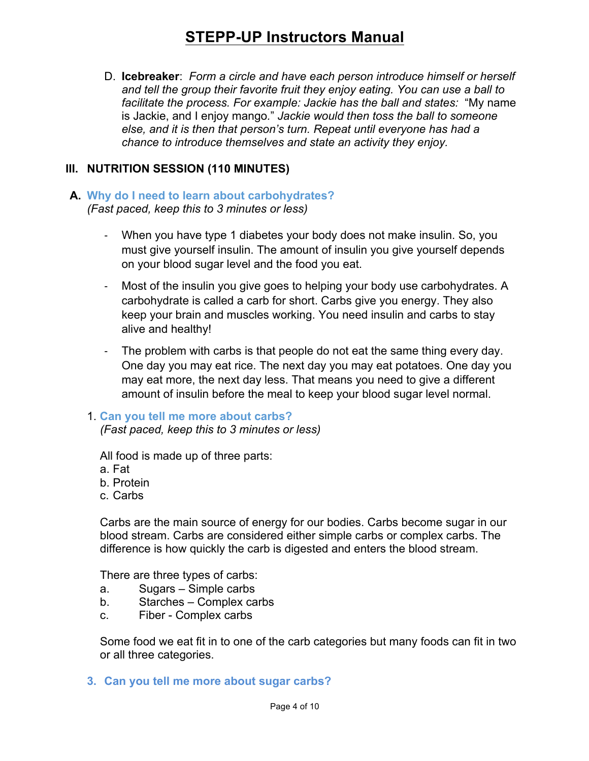D. **Icebreaker**: *Form a circle and have each person introduce himself or herself and tell the group their favorite fruit they enjoy eating. You can use a ball to facilitate the process. For example: Jackie has the ball and states:* "My name is Jackie, and I enjoy mango*.*" *Jackie would then toss the ball to someone else, and it is then that person's turn. Repeat until everyone has had a chance to introduce themselves and state an activity they enjoy.*

### **III. NUTRITION SESSION (110 MINUTES)**

### **A. Why do I need to learn about carbohydrates?** *(Fast paced, keep this to 3 minutes or less)*

- When you have type 1 diabetes your body does not make insulin. So, you must give yourself insulin. The amount of insulin you give yourself depends on your blood sugar level and the food you eat.
- Most of the insulin you give goes to helping your body use carbohydrates. A carbohydrate is called a carb for short. Carbs give you energy. They also keep your brain and muscles working. You need insulin and carbs to stay alive and healthy!
- The problem with carbs is that people do not eat the same thing every day. One day you may eat rice. The next day you may eat potatoes. One day you may eat more, the next day less. That means you need to give a different amount of insulin before the meal to keep your blood sugar level normal.

#### 1. **Can you tell me more about carbs?** *(Fast paced, keep this to 3 minutes or less)*

All food is made up of three parts:

- a. Fat
- b. Protein
- c. Carbs

Carbs are the main source of energy for our bodies. Carbs become sugar in our blood stream. Carbs are considered either simple carbs or complex carbs. The difference is how quickly the carb is digested and enters the blood stream.

There are three types of carbs:

- a. Sugars Simple carbs
- b. Starches Complex carbs
- c. Fiber Complex carbs

Some food we eat fit in to one of the carb categories but many foods can fit in two or all three categories.

**3. Can you tell me more about sugar carbs?**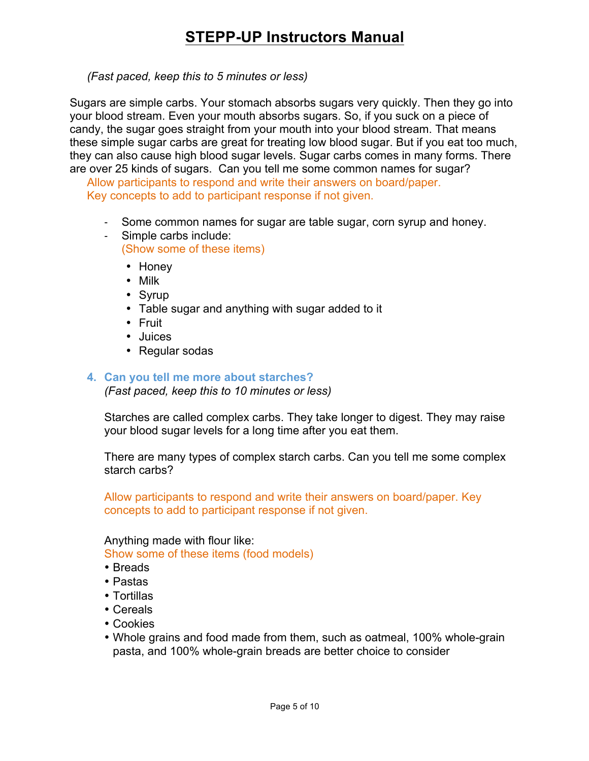*(Fast paced, keep this to 5 minutes or less)*

Sugars are simple carbs. Your stomach absorbs sugars very quickly. Then they go into your blood stream. Even your mouth absorbs sugars. So, if you suck on a piece of candy, the sugar goes straight from your mouth into your blood stream. That means these simple sugar carbs are great for treating low blood sugar. But if you eat too much, they can also cause high blood sugar levels. Sugar carbs comes in many forms. There are over 25 kinds of sugars. Can you tell me some common names for sugar?

Allow participants to respond and write their answers on board/paper. Key concepts to add to participant response if not given.

- Some common names for sugar are table sugar, corn syrup and honey.
- Simple carbs include: (Show some of these items)
	- Honey
	- Milk
	- Syrup
	- Table sugar and anything with sugar added to it
	- Fruit
	- Juices
	- Regular sodas

### **4. Can you tell me more about starches?**

*(Fast paced, keep this to 10 minutes or less)*

Starches are called complex carbs. They take longer to digest. They may raise your blood sugar levels for a long time after you eat them.

There are many types of complex starch carbs. Can you tell me some complex starch carbs?

Allow participants to respond and write their answers on board/paper. Key concepts to add to participant response if not given.

Anything made with flour like:

Show some of these items (food models)

- Breads
- Pastas
- Tortillas
- Cereals
- Cookies
- Whole grains and food made from them, such as oatmeal, 100% whole-grain pasta, and 100% whole-grain breads are better choice to consider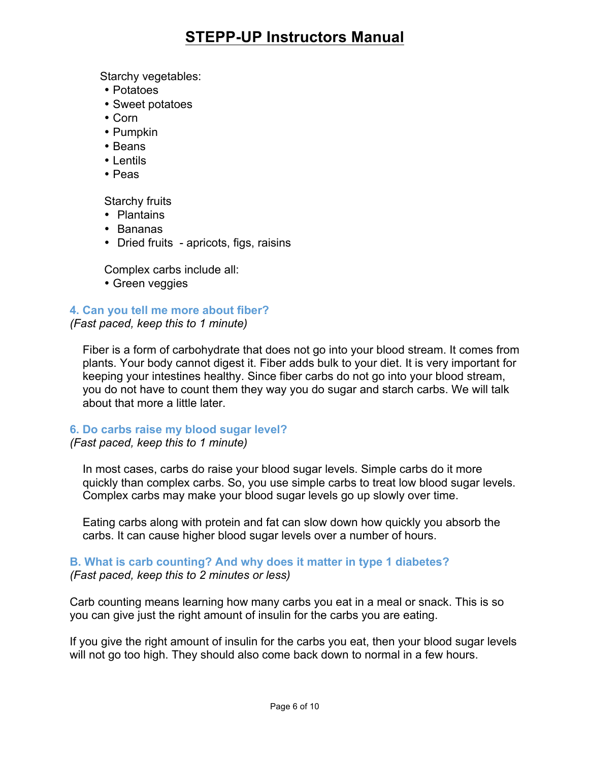Starchy vegetables:

- Potatoes
- Sweet potatoes
- Corn
- Pumpkin
- Beans
- Lentils
- Peas

Starchy fruits

- Plantains
- Bananas
- Dried fruits apricots, figs, raisins

Complex carbs include all:

• Green veggies

**4. Can you tell me more about fiber?**

*(Fast paced, keep this to 1 minute)*

Fiber is a form of carbohydrate that does not go into your blood stream. It comes from plants. Your body cannot digest it. Fiber adds bulk to your diet. It is very important for keeping your intestines healthy. Since fiber carbs do not go into your blood stream, you do not have to count them they way you do sugar and starch carbs. We will talk about that more a little later.

### **6. Do carbs raise my blood sugar level?**

*(Fast paced, keep this to 1 minute)*

In most cases, carbs do raise your blood sugar levels. Simple carbs do it more quickly than complex carbs. So, you use simple carbs to treat low blood sugar levels. Complex carbs may make your blood sugar levels go up slowly over time.

Eating carbs along with protein and fat can slow down how quickly you absorb the carbs. It can cause higher blood sugar levels over a number of hours.

### **B. What is carb counting? And why does it matter in type 1 diabetes?** *(Fast paced, keep this to 2 minutes or less)*

Carb counting means learning how many carbs you eat in a meal or snack. This is so you can give just the right amount of insulin for the carbs you are eating.

If you give the right amount of insulin for the carbs you eat, then your blood sugar levels will not go too high. They should also come back down to normal in a few hours.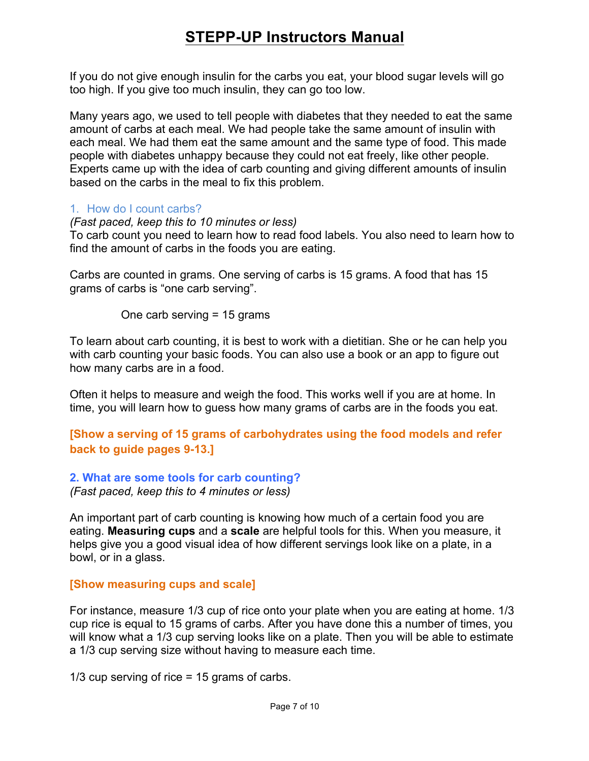If you do not give enough insulin for the carbs you eat, your blood sugar levels will go too high. If you give too much insulin, they can go too low.

Many years ago, we used to tell people with diabetes that they needed to eat the same amount of carbs at each meal. We had people take the same amount of insulin with each meal. We had them eat the same amount and the same type of food. This made people with diabetes unhappy because they could not eat freely, like other people. Experts came up with the idea of carb counting and giving different amounts of insulin based on the carbs in the meal to fix this problem.

### 1. How do I count carbs?

*(Fast paced, keep this to 10 minutes or less)*

To carb count you need to learn how to read food labels. You also need to learn how to find the amount of carbs in the foods you are eating.

Carbs are counted in grams. One serving of carbs is 15 grams. A food that has 15 grams of carbs is "one carb serving".

One carb serving = 15 grams

To learn about carb counting, it is best to work with a dietitian. She or he can help you with carb counting your basic foods. You can also use a book or an app to figure out how many carbs are in a food.

Often it helps to measure and weigh the food. This works well if you are at home. In time, you will learn how to guess how many grams of carbs are in the foods you eat.

**[Show a serving of 15 grams of carbohydrates using the food models and refer back to guide pages 9-13.]**

**2. What are some tools for carb counting?** *(Fast paced, keep this to 4 minutes or less)*

An important part of carb counting is knowing how much of a certain food you are eating. **Measuring cups** and a **scale** are helpful tools for this. When you measure, it helps give you a good visual idea of how different servings look like on a plate, in a bowl, or in a glass.

### **[Show measuring cups and scale]**

For instance, measure 1/3 cup of rice onto your plate when you are eating at home. 1/3 cup rice is equal to 15 grams of carbs. After you have done this a number of times, you will know what a 1/3 cup serving looks like on a plate. Then you will be able to estimate a 1/3 cup serving size without having to measure each time.

1/3 cup serving of rice = 15 grams of carbs.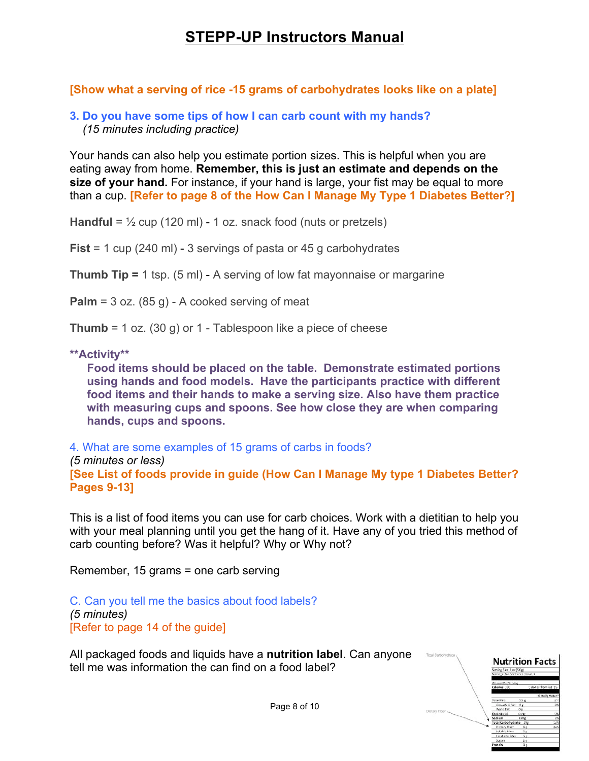**[Show what a serving of rice -15 grams of carbohydrates looks like on a plate]**

**3. Do you have some tips of how I can carb count with my hands?** *(15 minutes including practice)*

Your hands can also help you estimate portion sizes. This is helpful when you are eating away from home. **Remember, this is just an estimate and depends on the size of your hand.** For instance, if your hand is large, your fist may be equal to more than a cup. **[Refer to page 8 of the How Can I Manage My Type 1 Diabetes Better?]**

**Handful** = ½ cup (120 ml) - 1 oz. snack food (nuts or pretzels)

**Fist** = 1 cup (240 ml) - 3 servings of pasta or 45 g carbohydrates

**Thumb Tip =** 1 tsp. (5 ml) - A serving of low fat mayonnaise or margarine

Palm = 3 oz. (85 g) - A cooked serving of meat

**Thumb** = 1 oz. (30 g) or 1 - Tablespoon like a piece of cheese

### **\*\*Activity\*\***

**Food items should be placed on the table. Demonstrate estimated portions using hands and food models. Have the participants practice with different food items and their hands to make a serving size. Also have them practice with measuring cups and spoons. See how close they are when comparing hands, cups and spoons.**

4. What are some examples of 15 grams of carbs in foods? *(5 minutes or less)* **[See List of foods provide in guide (How Can I Manage My type 1 Diabetes Better? Pages 9-13]**

This is a list of food items you can use for carb choices. Work with a dietitian to help you with your meal planning until you get the hang of it. Have any of you tried this method of carb counting before? Was it helpful? Why or Why not?

Remember, 15 grams = one carb serving

C. Can you tell me the basics about food labels? *(5 minutes)*  [Refer to page 14 of the guide]

All packaged foods and liquids have a **nutrition label**. Can anyone tell me was information the can find on a food label?

**Nutrition Facts** 

Page 8 of 10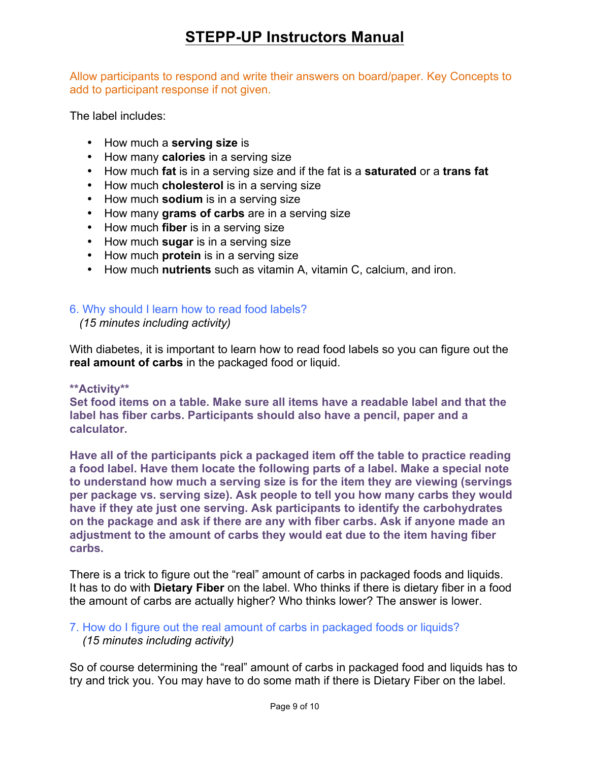Allow participants to respond and write their answers on board/paper. Key Concepts to add to participant response if not given.

The label includes:

- How much a **serving size** is
- How many **calories** in a serving size
- How much **fat** is in a serving size and if the fat is a **saturated** or a **trans fat**
- How much **cholesterol** is in a serving size
- How much **sodium** is in a serving size
- How many **grams of carbs** are in a serving size
- How much **fiber** is in a serving size
- How much **sugar** is in a serving size
- How much **protein** is in a serving size
- How much **nutrients** such as vitamin A, vitamin C, calcium, and iron.

### 6. Why should I learn how to read food labels?

 *(15 minutes including activity)* 

With diabetes, it is important to learn how to read food labels so you can figure out the **real amount of carbs** in the packaged food or liquid.

### **\*\*Activity\*\***

**Set food items on a table. Make sure all items have a readable label and that the label has fiber carbs. Participants should also have a pencil, paper and a calculator.**

**Have all of the participants pick a packaged item off the table to practice reading a food label. Have them locate the following parts of a label. Make a special note to understand how much a serving size is for the item they are viewing (servings per package vs. serving size). Ask people to tell you how many carbs they would have if they ate just one serving. Ask participants to identify the carbohydrates on the package and ask if there are any with fiber carbs. Ask if anyone made an adjustment to the amount of carbs they would eat due to the item having fiber carbs.**

There is a trick to figure out the "real" amount of carbs in packaged foods and liquids. It has to do with **Dietary Fiber** on the label. Who thinks if there is dietary fiber in a food the amount of carbs are actually higher? Who thinks lower? The answer is lower.

### 7. How do I figure out the real amount of carbs in packaged foods or liquids? *(15 minutes including activity)*

So of course determining the "real" amount of carbs in packaged food and liquids has to try and trick you. You may have to do some math if there is Dietary Fiber on the label.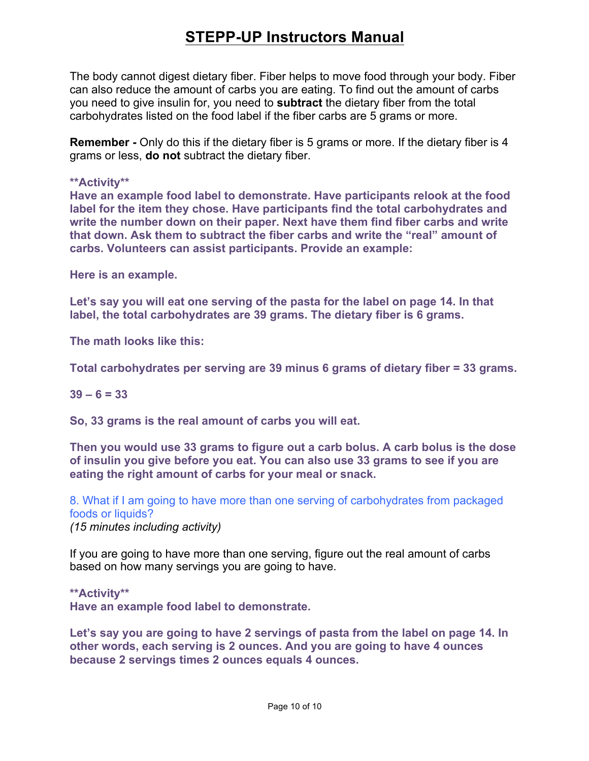The body cannot digest dietary fiber. Fiber helps to move food through your body. Fiber can also reduce the amount of carbs you are eating. To find out the amount of carbs you need to give insulin for, you need to **subtract** the dietary fiber from the total carbohydrates listed on the food label if the fiber carbs are 5 grams or more.

**Remember -** Only do this if the dietary fiber is 5 grams or more. If the dietary fiber is 4 grams or less, **do not** subtract the dietary fiber.

#### **\*\*Activity\*\***

**Have an example food label to demonstrate. Have participants relook at the food label for the item they chose. Have participants find the total carbohydrates and write the number down on their paper. Next have them find fiber carbs and write that down. Ask them to subtract the fiber carbs and write the "real" amount of carbs. Volunteers can assist participants. Provide an example:**

**Here is an example.**

**Let's say you will eat one serving of the pasta for the label on page 14. In that label, the total carbohydrates are 39 grams. The dietary fiber is 6 grams.**

**The math looks like this:**

**Total carbohydrates per serving are 39 minus 6 grams of dietary fiber = 33 grams.**

#### **39 – 6 = 33**

**So, 33 grams is the real amount of carbs you will eat.**

**Then you would use 33 grams to figure out a carb bolus. A carb bolus is the dose of insulin you give before you eat. You can also use 33 grams to see if you are eating the right amount of carbs for your meal or snack.**

8. What if I am going to have more than one serving of carbohydrates from packaged foods or liquids?

*(15 minutes including activity)*

If you are going to have more than one serving, figure out the real amount of carbs based on how many servings you are going to have.

**\*\*Activity\*\***

**Have an example food label to demonstrate.**

**Let's say you are going to have 2 servings of pasta from the label on page 14. In other words, each serving is 2 ounces. And you are going to have 4 ounces because 2 servings times 2 ounces equals 4 ounces.**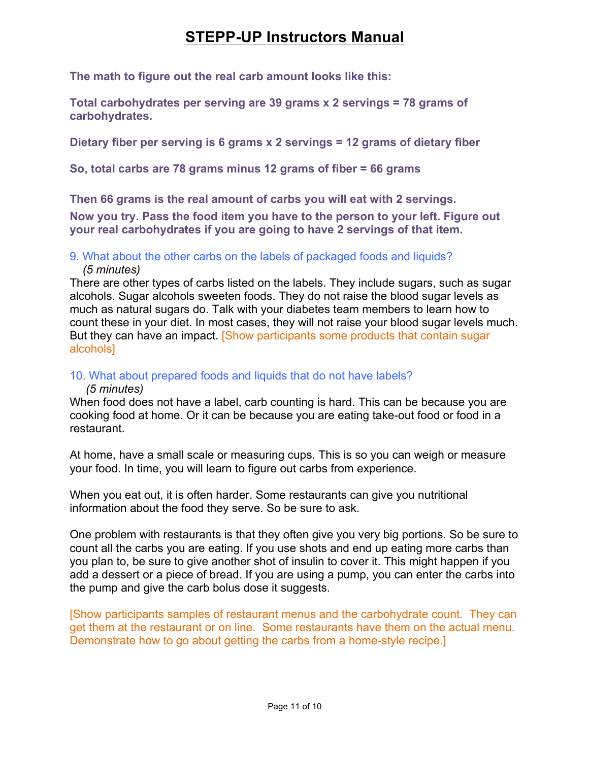**The math to figure out the real carb amount looks like this:**

**Total carbohydrates per serving are 39 grams x 2 servings = 78 grams of carbohydrates.**

**Dietary fiber per serving is 6 grams x 2 servings = 12 grams of dietary fiber**

**So, total carbs are 78 grams minus 12 grams of fiber = 66 grams**

**Then 66 grams is the real amount of carbs you will eat with 2 servings.**

**Now you try. Pass the food item you have to the person to your left. Figure out your real carbohydrates if you are going to have 2 servings of that item.**

## 9. What about the other carbs on the labels of packaged foods and liquids?

### *(5 minutes)*

There are other types of carbs listed on the labels. They include sugars, such as sugar alcohols. Sugar alcohols sweeten foods. They do not raise the blood sugar levels as much as natural sugars do. Talk with your diabetes team members to learn how to count these in your diet. In most cases, they will not raise your blood sugar levels much. But they can have an impact. [Show participants some products that contain sugar alcohols]

## 10. What about prepared foods and liquids that do not have labels?

### *(5 minutes)*

When food does not have a label, carb counting is hard. This can be because you are cooking food at home. Or it can be because you are eating take-out food or food in a restaurant.

At home, have a small scale or measuring cups. This is so you can weigh or measure your food. In time, you will learn to figure out carbs from experience.

When you eat out, it is often harder. Some restaurants can give you nutritional information about the food they serve. So be sure to ask.

One problem with restaurants is that they often give you very big portions. So be sure to count all the carbs you are eating. If you use shots and end up eating more carbs than you plan to, be sure to give another shot of insulin to cover it. This might happen if you add a dessert or a piece of bread. If you are using a pump, you can enter the carbs into the pump and give the carb bolus dose it suggests.

[Show participants samples of restaurant menus and the carbohydrate count. They can get them at the restaurant or on line. Some restaurants have them on the actual menu. Demonstrate how to go about getting the carbs from a home-style recipe.]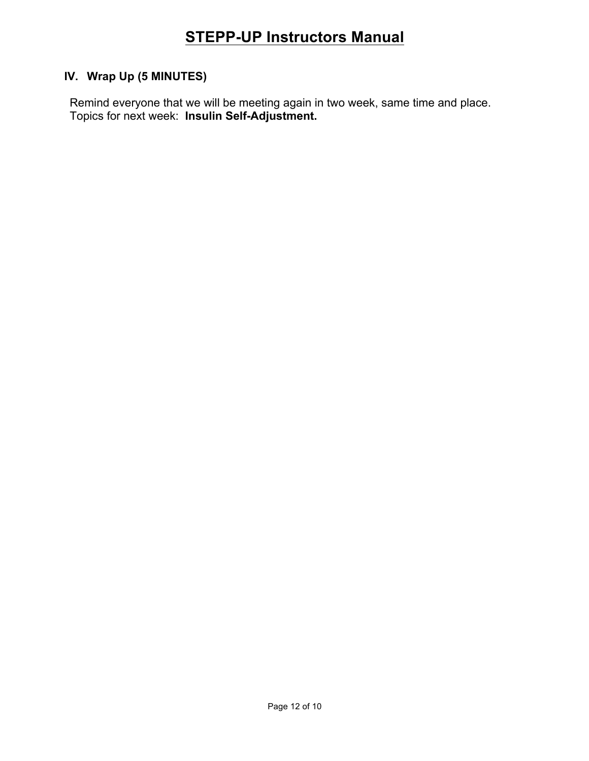## **IV. Wrap Up (5 MINUTES)**

Remind everyone that we will be meeting again in two week, same time and place. Topics for next week: **Insulin Self-Adjustment.**